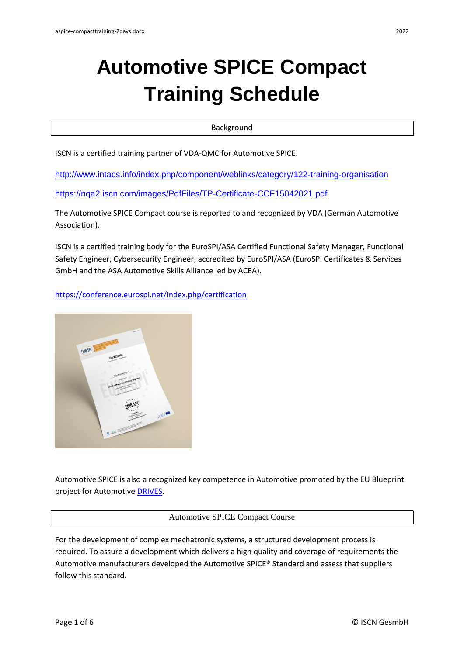# **Automotive SPICE Compact Training Schedule**

Background

ISCN is a certified training partner of VDA-QMC for Automotive SPICE.

<http://www.intacs.info/index.php/component/weblinks/category/122-training-organisation> <https://nqa2.iscn.com/images/PdfFiles/TP-Certificate-CCF15042021.pdf>

The Automotive SPICE Compact course is reported to and recognized by VDA (German Automotive Association).

ISCN is a certified training body for the EuroSPI/ASA Certified Functional Safety Manager, Functional Safety Engineer, Cybersecurity Engineer, accredited by EuroSPI/ASA (EuroSPI Certificates & Services GmbH and the ASA Automotive Skills Alliance led by ACEA).

# <https://conference.eurospi.net/index.php/certification>



Automotive SPICE is also a recognized key competence in Automotive promoted by the EU Blueprint project for Automotive [DRIVES.](https://www.project-drives.eu/en/ourpartners)

## Automotive SPICE Compact Course

For the development of complex mechatronic systems, a structured development process is required. To assure a development which delivers a high quality and coverage of requirements the Automotive manufacturers developed the Automotive SPICE® Standard and assess that suppliers follow this standard.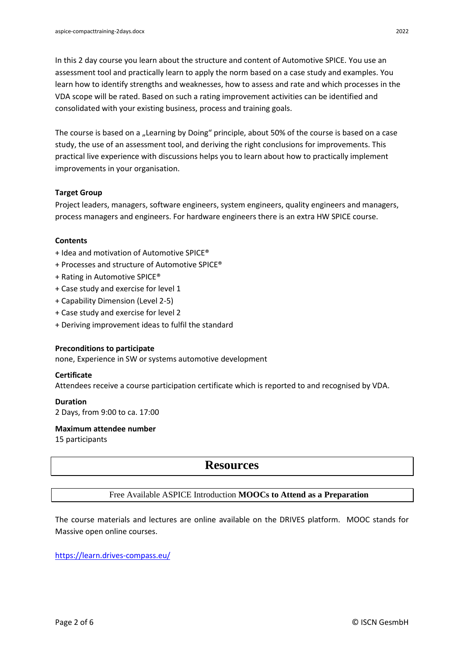In this 2 day course you learn about the structure and content of Automotive SPICE. You use an assessment tool and practically learn to apply the norm based on a case study and examples. You learn how to identify strengths and weaknesses, how to assess and rate and which processes in the VDA scope will be rated. Based on such a rating improvement activities can be identified and consolidated with your existing business, process and training goals.

The course is based on a "Learning by Doing" principle, about 50% of the course is based on a case study, the use of an assessment tool, and deriving the right conclusions for improvements. This practical live experience with discussions helps you to learn about how to practically implement improvements in your organisation.

#### **Target Group**

Project leaders, managers, software engineers, system engineers, quality engineers and managers, process managers and engineers. For hardware engineers there is an extra HW SPICE course.

#### **Contents**

- + Idea and motivation of Automotive SPICE®
- + Processes and structure of Automotive SPICE®
- + Rating in Automotive SPICE®
- + Case study and exercise for level 1
- + Capability Dimension (Level 2-5)
- + Case study and exercise for level 2
- + Deriving improvement ideas to fulfil the standard

#### **Preconditions to participate**

none, Experience in SW or systems automotive development

#### **Certificate**

Attendees receive a course participation certificate which is reported to and recognised by VDA.

#### **Duration**

2 Days, from 9:00 to ca. 17:00

**Maximum attendee number** 15 participants

# **Resources**

### Free Available ASPICE Introduction **MOOCs to Attend as a Preparation**

The course materials and lectures are online available on the DRIVES platform. MOOC stands for Massive open online courses.

<https://learn.drives-compass.eu/>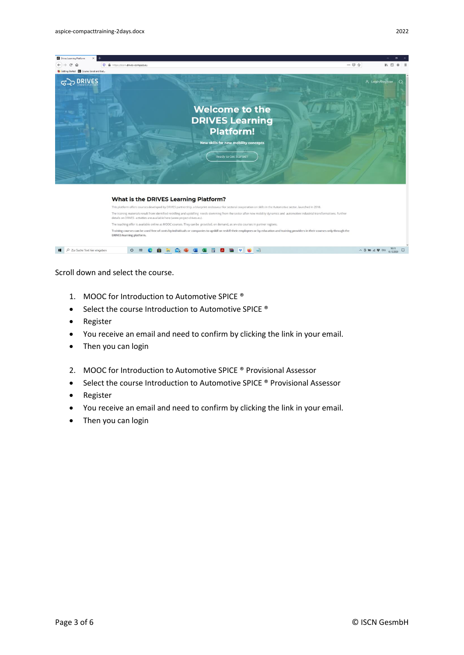

Training courses can be used free of costs by individuals or companies to upskill or reskill their employees or by education and training providers in their courses only through the<br>DRIVES learning platform.

Scroll down and select the course.

- 1. MOOC for Introduction to Automotive SPICE ®
- Select the course Introduction to Automotive SPICE ®
- Register

 $\Box$   $\Box$  Zur Suche Text hier eingeben

• You receive an email and need to confirm by clicking the link in your email.

O H C **R R Q C G G B B B V C** J

- Then you can login
- 2. MOOC for Introduction to Automotive SPICE ® Provisional Assessor
- Select the course Introduction to Automotive SPICE ® Provisional Assessor
- Register
- You receive an email and need to confirm by clicking the link in your email.
- Then you can login

 $\begin{array}{c} \wedge \bar{Q} \text{ WQ} \ll \frac{1}{2} \text{ VQ} \text{ VQ} \text{ VQ} \text{ VQ} \text{ VQ} \text{ VQ} \end{array}$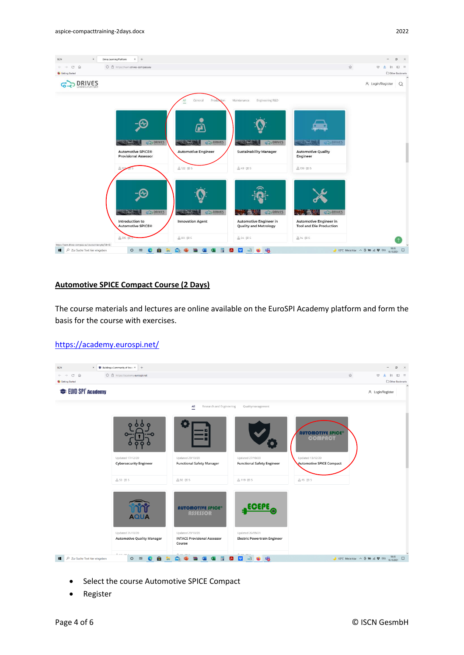

## **Automotive SPICE Compact Course (2 Days)**

The course materials and lectures are online available on the EuroSPI Academy platform and form the basis for the course with exercises.

#### <https://academy.eurospi.net/>



- Select the course Automotive SPICE Compact
- Register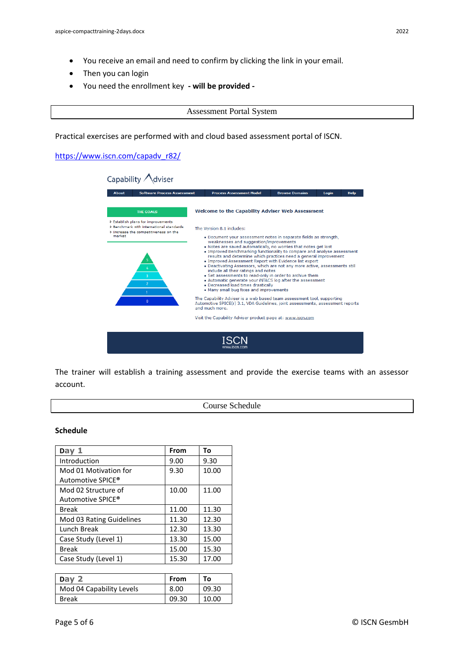- You receive an email and need to confirm by clicking the link in your email.
- Then you can login
- You need the enrollment key **- will be provided**

#### Assessment Portal System

Practical exercises are performed with and cloud based assessment portal of ISCN.

[https://www.iscn.com/capadv\\_r82/](https://www.iscn.com/capadv_r82/)



The trainer will establish a training assessment and provide the exercise teams with an assessor account.

Course Schedule

#### **Schedule**

| Day $1$                  | From  | Τo    |
|--------------------------|-------|-------|
| Introduction             | 9.00  | 9.30  |
| Mod 01 Motivation for    | 9.30  | 10.00 |
| Automotive SPICE®        |       |       |
| Mod 02 Structure of      | 10.00 | 11.00 |
| Automotive SPICE®        |       |       |
| <b>Break</b>             | 11.00 | 11.30 |
| Mod 03 Rating Guidelines | 11.30 | 12.30 |
| Lunch Break              | 12.30 | 13.30 |
| Case Study (Level 1)     | 13.30 | 15.00 |
| <b>Break</b>             | 15.00 | 15.30 |
| Case Study (Level 1)     | 15.30 | 17.00 |

| Dav                      | From  | To    |
|--------------------------|-------|-------|
| Mod 04 Capability Levels | 8.00  | 09.30 |
| <b>Break</b>             | 09.30 | 10.00 |